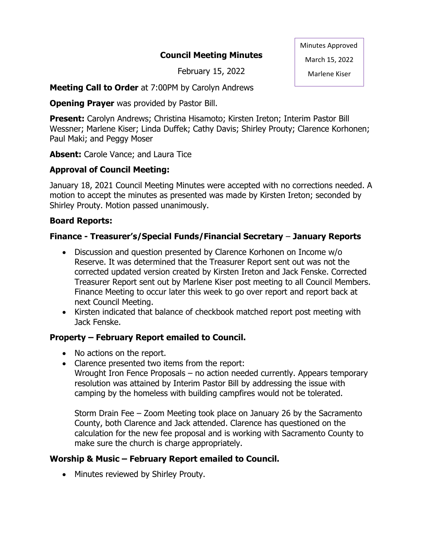### **Council Meeting Minutes**

February 15, 2022

Minutes Approved March 15, 2022

Marlene Kiser

**Meeting Call to Order** at 7:00PM by Carolyn Andrews

**Opening Prayer** was provided by Pastor Bill.

**Present:** Carolyn Andrews; Christina Hisamoto; Kirsten Ireton; Interim Pastor Bill Wessner; Marlene Kiser; Linda Duffek; Cathy Davis; Shirley Prouty; Clarence Korhonen; Paul Maki; and Peggy Moser

**Absent:** Carole Vance; and Laura Tice

### **Approval of Council Meeting:**

January 18, 2021 Council Meeting Minutes were accepted with no corrections needed. A motion to accept the minutes as presented was made by Kirsten Ireton; seconded by Shirley Prouty. Motion passed unanimously.

### **Board Reports:**

### **Finance - Treasurer's/Special Funds/Financial Secretary** – **January Reports**

- Discussion and question presented by Clarence Korhonen on Income w/o Reserve. It was determined that the Treasurer Report sent out was not the corrected updated version created by Kirsten Ireton and Jack Fenske. Corrected Treasurer Report sent out by Marlene Kiser post meeting to all Council Members. Finance Meeting to occur later this week to go over report and report back at next Council Meeting.
- Kirsten indicated that balance of checkbook matched report post meeting with Jack Fenske.

### **Property – February Report emailed to Council.**

- No actions on the report.
- Clarence presented two items from the report:
	- Wrought Iron Fence Proposals no action needed currently. Appears temporary resolution was attained by Interim Pastor Bill by addressing the issue with camping by the homeless with building campfires would not be tolerated.

Storm Drain Fee – Zoom Meeting took place on January 26 by the Sacramento County, both Clarence and Jack attended. Clarence has questioned on the calculation for the new fee proposal and is working with Sacramento County to make sure the church is charge appropriately.

### **Worship & Music – February Report emailed to Council.**

• Minutes reviewed by Shirley Prouty.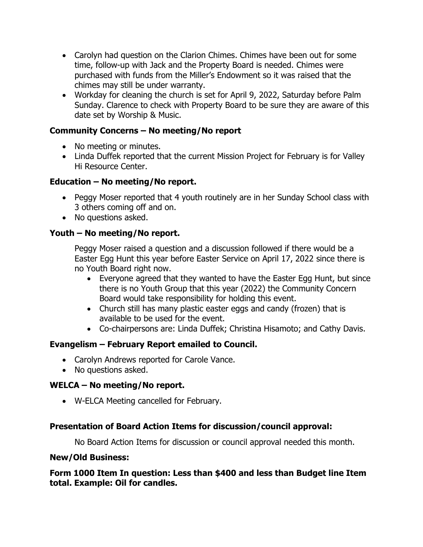- Carolyn had question on the Clarion Chimes. Chimes have been out for some time, follow-up with Jack and the Property Board is needed. Chimes were purchased with funds from the Miller's Endowment so it was raised that the chimes may still be under warranty.
- Workday for cleaning the church is set for April 9, 2022, Saturday before Palm Sunday. Clarence to check with Property Board to be sure they are aware of this date set by Worship & Music.

### **Community Concerns – No meeting/No report**

- No meeting or minutes.
- Linda Duffek reported that the current Mission Project for February is for Valley Hi Resource Center.

# **Education – No meeting/No report.**

- Peggy Moser reported that 4 youth routinely are in her Sunday School class with 3 others coming off and on.
- No questions asked.

### **Youth – No meeting/No report.**

Peggy Moser raised a question and a discussion followed if there would be a Easter Egg Hunt this year before Easter Service on April 17, 2022 since there is no Youth Board right now.

- Everyone agreed that they wanted to have the Easter Egg Hunt, but since there is no Youth Group that this year (2022) the Community Concern Board would take responsibility for holding this event.
- Church still has many plastic easter eggs and candy (frozen) that is available to be used for the event.
- Co-chairpersons are: Linda Duffek; Christina Hisamoto; and Cathy Davis.

# **Evangelism – February Report emailed to Council.**

- Carolyn Andrews reported for Carole Vance.
- No questions asked.

### **WELCA – No meeting/No report.**

• W-ELCA Meeting cancelled for February.

### **Presentation of Board Action Items for discussion/council approval:**

No Board Action Items for discussion or council approval needed this month.

#### **New/Old Business:**

**Form 1000 Item In question: Less than \$400 and less than Budget line Item total. Example: Oil for candles.**